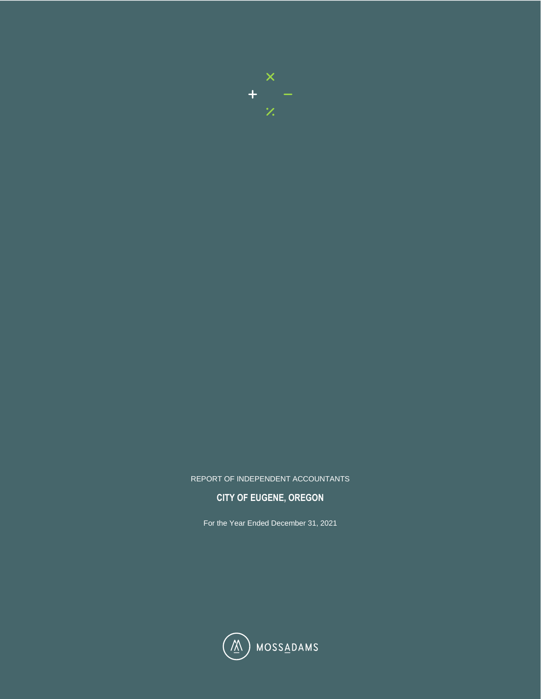

## REPORT OF INDEPENDENT ACCOUNTANTS

## **CITY OF EUGENE, OREGON**

For the Year Ended December 31, 2021

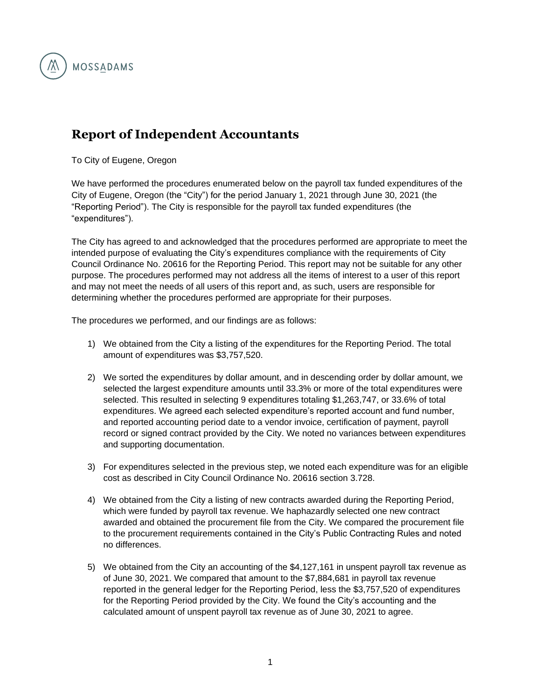

## **Report of Independent Accountants**

To City of Eugene, Oregon

We have performed the procedures enumerated below on the payroll tax funded expenditures of the City of Eugene, Oregon (the "City") for the period January 1, 2021 through June 30, 2021 (the "Reporting Period"). The City is responsible for the payroll tax funded expenditures (the "expenditures").

The City has agreed to and acknowledged that the procedures performed are appropriate to meet the intended purpose of evaluating the City's expenditures compliance with the requirements of City Council Ordinance No. 20616 for the Reporting Period. This report may not be suitable for any other purpose. The procedures performed may not address all the items of interest to a user of this report and may not meet the needs of all users of this report and, as such, users are responsible for determining whether the procedures performed are appropriate for their purposes.

The procedures we performed, and our findings are as follows:

- 1) We obtained from the City a listing of the expenditures for the Reporting Period. The total amount of expenditures was \$3,757,520.
- 2) We sorted the expenditures by dollar amount, and in descending order by dollar amount, we selected the largest expenditure amounts until 33.3% or more of the total expenditures were selected. This resulted in selecting 9 expenditures totaling \$1,263,747, or 33.6% of total expenditures. We agreed each selected expenditure's reported account and fund number, and reported accounting period date to a vendor invoice, certification of payment, payroll record or signed contract provided by the City. We noted no variances between expenditures and supporting documentation.
- 3) For expenditures selected in the previous step, we noted each expenditure was for an eligible cost as described in City Council Ordinance No. 20616 section 3.728.
- 4) We obtained from the City a listing of new contracts awarded during the Reporting Period, which were funded by payroll tax revenue. We haphazardly selected one new contract awarded and obtained the procurement file from the City. We compared the procurement file to the procurement requirements contained in the City's Public Contracting Rules and noted no differences.
- 5) We obtained from the City an accounting of the \$4,127,161 in unspent payroll tax revenue as of June 30, 2021. We compared that amount to the \$7,884,681 in payroll tax revenue reported in the general ledger for the Reporting Period, less the \$3,757,520 of expenditures for the Reporting Period provided by the City. We found the City's accounting and the calculated amount of unspent payroll tax revenue as of June 30, 2021 to agree.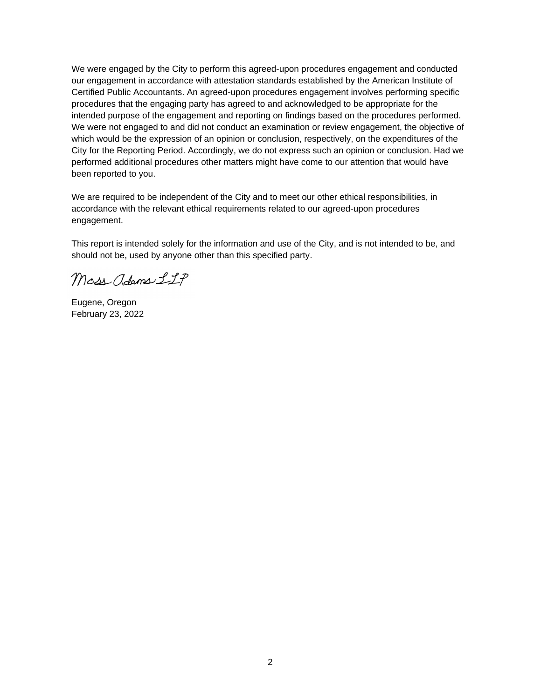We were engaged by the City to perform this agreed-upon procedures engagement and conducted our engagement in accordance with attestation standards established by the American Institute of Certified Public Accountants. An agreed-upon procedures engagement involves performing specific procedures that the engaging party has agreed to and acknowledged to be appropriate for the intended purpose of the engagement and reporting on findings based on the procedures performed. We were not engaged to and did not conduct an examination or review engagement, the objective of which would be the expression of an opinion or conclusion, respectively, on the expenditures of the City for the Reporting Period. Accordingly, we do not express such an opinion or conclusion. Had we performed additional procedures other matters might have come to our attention that would have been reported to you.

We are required to be independent of the City and to meet our other ethical responsibilities, in accordance with the relevant ethical requirements related to our agreed-upon procedures engagement.

This report is intended solely for the information and use of the City, and is not intended to be, and should not be, used by anyone other than this specified party.

Moss adams LLP

Eugene, Oregon February 23, 2022